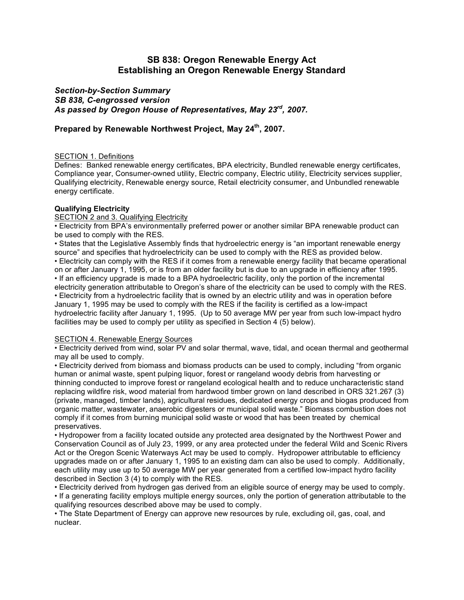# **SB 838: Oregon Renewable Energy Act Establishing an Oregon Renewable Energy Standard**

*Section-by-Section Summary SB 838, C-engrossed version As passed by Oregon House of Representatives, May 23rd , 2007.*

## **Prepared by Renewable Northwest Project, May 24th , 2007.**

### SECTION 1. Definitions

Defines: Banked renewable energy certificates, BPA electricity, Bundled renewable energy certificates, Compliance year, Consumer-owned utility, Electric company, Electric utility, Electricity services supplier, Qualifying electricity, Renewable energy source, Retail electricity consumer, and Unbundled renewable energy certificate.

### **Qualifying Electricity**

### SECTION 2 and 3. Qualifying Electricity

• Electricity from BPA's environmentally preferred power or another similar BPA renewable product can be used to comply with the RES.

• States that the Legislative Assembly finds that hydroelectric energy is "an important renewable energy source" and specifies that hydroelectricity can be used to comply with the RES as provided below. • Electricity can comply with the RES if it comes from a renewable energy facility that became operational on or after January 1, 1995, or is from an older facility but is due to an upgrade in efficiency after 1995. • If an efficiency upgrade is made to a BPA hydroelectric facility, only the portion of the incremental electricity generation attributable to Oregon's share of the electricity can be used to comply with the RES. • Electricity from a hydroelectric facility that is owned by an electric utility and was in operation before January 1, 1995 may be used to comply with the RES if the facility is certified as a low-impact hydroelectric facility after January 1, 1995. (Up to 50 average MW per year from such low-impact hydro facilities may be used to comply per utility as specified in Section 4 (5) below).

### SECTION 4. Renewable Energy Sources

• Electricity derived from wind, solar PV and solar thermal, wave, tidal, and ocean thermal and geothermal may all be used to comply.

• Electricity derived from biomass and biomass products can be used to comply, including "from organic human or animal waste, spent pulping liquor, forest or rangeland woody debris from harvesting or thinning conducted to improve forest or rangeland ecological health and to reduce uncharacteristic stand replacing wildfire risk, wood material from hardwood timber grown on land described in ORS 321.267 (3) (private, managed, timber lands), agricultural residues, dedicated energy crops and biogas produced from organic matter, wastewater, anaerobic digesters or municipal solid waste." Biomass combustion does not comply if it comes from burning municipal solid waste or wood that has been treated by chemical preservatives.

• Hydropower from a facility located outside any protected area designated by the Northwest Power and Conservation Council as of July 23, 1999, or any area protected under the federal Wild and Scenic Rivers Act or the Oregon Scenic Waterways Act may be used to comply. Hydropower attributable to efficiency upgrades made on or after January 1, 1995 to an existing dam can also be used to comply. Additionally, each utility may use up to 50 average MW per year generated from a certified low-impact hydro facility described in Section 3 (4) to comply with the RES.

• Electricity derived from hydrogen gas derived from an eligible source of energy may be used to comply. • If a generating facility employs multiple energy sources, only the portion of generation attributable to the qualifying resources described above may be used to comply.

• The State Department of Energy can approve new resources by rule, excluding oil, gas, coal, and nuclear.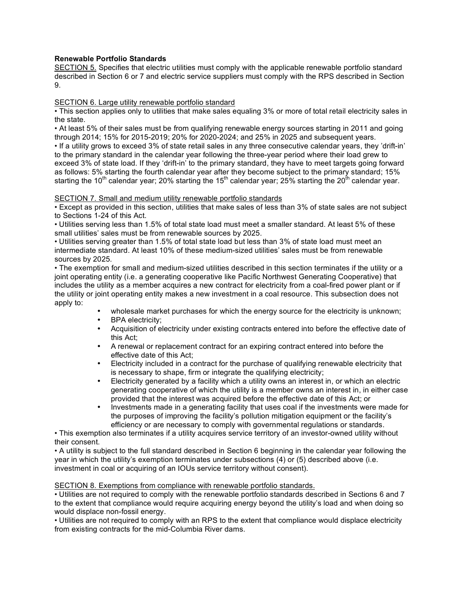### **Renewable Portfolio Standards**

SECTION 5. Specifies that electric utilities must comply with the applicable renewable portfolio standard described in Section 6 or 7 and electric service suppliers must comply with the RPS described in Section 9.

#### SECTION 6. Large utility renewable portfolio standard

• This section applies only to utilities that make sales equaling 3% or more of total retail electricity sales in the state.

• At least 5% of their sales must be from qualifying renewable energy sources starting in 2011 and going through 2014; 15% for 2015-2019; 20% for 2020-2024; and 25% in 2025 and subsequent years. • If a utility grows to exceed 3% of state retail sales in any three consecutive calendar years, they 'drift-in' to the primary standard in the calendar year following the three-year period where their load grew to exceed 3% of state load. If they 'drift-in' to the primary standard, they have to meet targets going forward as follows: 5% starting the fourth calendar year after they become subject to the primary standard; 15% starting the 10<sup>th</sup> calendar year; 20% starting the 15<sup>th</sup> calendar year; 25% starting the 20<sup>th</sup> calendar year.

### SECTION 7. Small and medium utility renewable portfolio standards

• Except as provided in this section, utilities that make sales of less than 3% of state sales are not subject to Sections 1-24 of this Act.

• Utilities serving less than 1.5% of total state load must meet a smaller standard. At least 5% of these small utilities' sales must be from renewable sources by 2025.

• Utilities serving greater than 1.5% of total state load but less than 3% of state load must meet an intermediate standard. At least 10% of these medium-sized utilities' sales must be from renewable sources by 2025.

• The exemption for small and medium-sized utilities described in this section terminates if the utility or a joint operating entity (i.e. a generating cooperative like Pacific Northwest Generating Cooperative) that includes the utility as a member acquires a new contract for electricity from a coal-fired power plant or if the utility or joint operating entity makes a new investment in a coal resource. This subsection does not apply to:

- wholesale market purchases for which the energy source for the electricity is unknown;
- BPA electricity:
- Acquisition of electricity under existing contracts entered into before the effective date of this Act;
- A renewal or replacement contract for an expiring contract entered into before the effective date of this Act;
- Electricity included in a contract for the purchase of qualifying renewable electricity that is necessary to shape, firm or integrate the qualifying electricity;
- Electricity generated by a facility which a utility owns an interest in, or which an electric generating cooperative of which the utility is a member owns an interest in, in either case provided that the interest was acquired before the effective date of this Act; or
- Investments made in a generating facility that uses coal if the investments were made for the purposes of improving the facility's pollution mitigation equipment or the facility's efficiency or are necessary to comply with governmental regulations or standards.

• This exemption also terminates if a utility acquires service territory of an investor-owned utility without their consent.

• A utility is subject to the full standard described in Section 6 beginning in the calendar year following the year in which the utility's exemption terminates under subsections (4) or (5) described above (i.e. investment in coal or acquiring of an IOUs service territory without consent).

### SECTION 8. Exemptions from compliance with renewable portfolio standards.

• Utilities are not required to comply with the renewable portfolio standards described in Sections 6 and 7 to the extent that compliance would require acquiring energy beyond the utility's load and when doing so would displace non-fossil energy.

• Utilities are not required to comply with an RPS to the extent that compliance would displace electricity from existing contracts for the mid-Columbia River dams.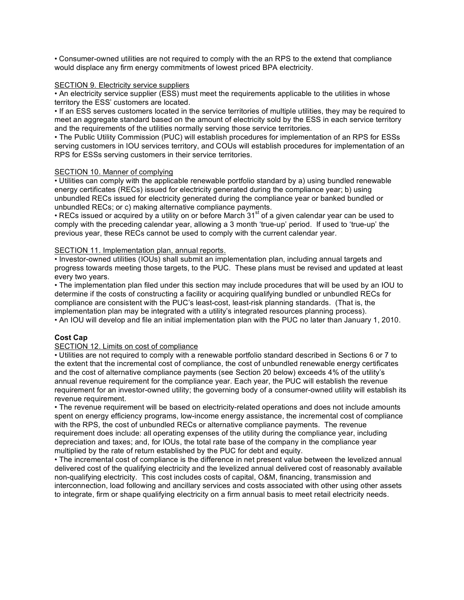• Consumer-owned utilities are not required to comply with the an RPS to the extend that compliance would displace any firm energy commitments of lowest priced BPA electricity.

### SECTION 9. Electricity service suppliers

• An electricity service supplier (ESS) must meet the requirements applicable to the utilities in whose territory the ESS' customers are located.

• If an ESS serves customers located in the service territories of multiple utilities, they may be required to meet an aggregate standard based on the amount of electricity sold by the ESS in each service territory and the requirements of the utilities normally serving those service territories.

• The Public Utility Commission (PUC) will establish procedures for implementation of an RPS for ESSs serving customers in IOU services territory, and COUs will establish procedures for implementation of an RPS for ESSs serving customers in their service territories.

## SECTION 10. Manner of complying

• Utilities can comply with the applicable renewable portfolio standard by a) using bundled renewable energy certificates (RECs) issued for electricity generated during the compliance year; b) using unbundled RECs issued for electricity generated during the compliance year or banked bundled or unbundled RECs; or c) making alternative compliance payments.

• RECs issued or acquired by a utility on or before March 31<sup>st</sup> of a given calendar year can be used to comply with the preceding calendar year, allowing a 3 month 'true-up' period. If used to 'true-up' the previous year, these RECs cannot be used to comply with the current calendar year.

### SECTION 11. Implementation plan, annual reports.

• Investor-owned utilities (IOUs) shall submit an implementation plan, including annual targets and progress towards meeting those targets, to the PUC. These plans must be revised and updated at least every two years.

• The implementation plan filed under this section may include procedures that will be used by an IOU to determine if the costs of constructing a facility or acquiring qualifying bundled or unbundled RECs for compliance are consistent with the PUC's least-cost, least-risk planning standards. (That is, the implementation plan may be integrated with a utility's integrated resources planning process). • An IOU will develop and file an initial implementation plan with the PUC no later than January 1, 2010.

## **Cost Cap**

### SECTION 12. Limits on cost of compliance

• Utilities are not required to comply with a renewable portfolio standard described in Sections 6 or 7 to the extent that the incremental cost of compliance, the cost of unbundled renewable energy certificates and the cost of alternative compliance payments (see Section 20 below) exceeds 4% of the utility's annual revenue requirement for the compliance year. Each year, the PUC will establish the revenue requirement for an investor-owned utility; the governing body of a consumer-owned utility will establish its revenue requirement.

• The revenue requirement will be based on electricity-related operations and does not include amounts spent on energy efficiency programs, low-income energy assistance, the incremental cost of compliance with the RPS, the cost of unbundled RECs or alternative compliance payments. The revenue requirement does include: all operating expenses of the utility during the compliance year, including depreciation and taxes; and, for IOUs, the total rate base of the company in the compliance year multiplied by the rate of return established by the PUC for debt and equity.

• The incremental cost of compliance is the difference in net present value between the levelized annual delivered cost of the qualifying electricity and the levelized annual delivered cost of reasonably available non-qualifying electricity. This cost includes costs of capital, O&M, financing, transmission and interconnection, load following and ancillary services and costs associated with other using other assets to integrate, firm or shape qualifying electricity on a firm annual basis to meet retail electricity needs.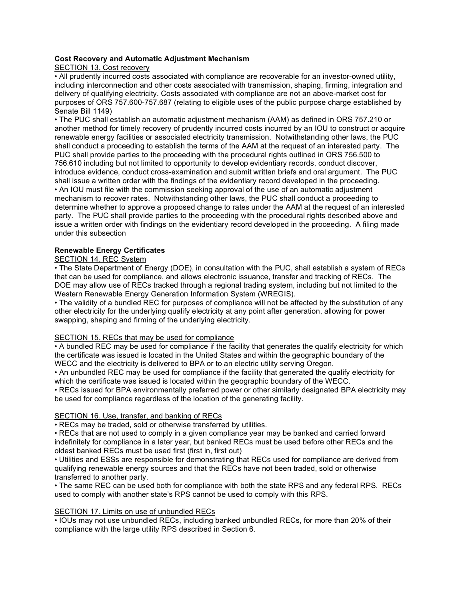### **Cost Recovery and Automatic Adjustment Mechanism**

SECTION 13. Cost recovery

• All prudently incurred costs associated with compliance are recoverable for an investor-owned utility, including interconnection and other costs associated with transmission, shaping, firming, integration and delivery of qualifying electricity. Costs associated with compliance are not an above-market cost for purposes of ORS 757.600-757.687 (relating to eligible uses of the public purpose charge established by Senate Bill 1149)

• The PUC shall establish an automatic adjustment mechanism (AAM) as defined in ORS 757.210 or another method for timely recovery of prudently incurred costs incurred by an IOU to construct or acquire renewable energy facilities or associated electricity transmission. Notwithstanding other laws, the PUC shall conduct a proceeding to establish the terms of the AAM at the request of an interested party. The PUC shall provide parties to the proceeding with the procedural rights outlined in ORS 756.500 to 756.610 including but not limited to opportunity to develop evidentiary records, conduct discover, introduce evidence, conduct cross-examination and submit written briefs and oral argument. The PUC shall issue a written order with the findings of the evidentiary record developed in the proceeding. • An IOU must file with the commission seeking approval of the use of an automatic adjustment mechanism to recover rates. Notwithstanding other laws, the PUC shall conduct a proceeding to determine whether to approve a proposed change to rates under the AAM at the request of an interested party. The PUC shall provide parties to the proceeding with the procedural rights described above and issue a written order with findings on the evidentiary record developed in the proceeding. A filing made under this subsection

### **Renewable Energy Certificates**

## SECTION 14. REC System

• The State Department of Energy (DOE), in consultation with the PUC, shall establish a system of RECs that can be used for compliance, and allows electronic issuance, transfer and tracking of RECs. The DOE may allow use of RECs tracked through a regional trading system, including but not limited to the Western Renewable Energy Generation Information System (WREGIS).

• The validity of a bundled REC for purposes of compliance will not be affected by the substitution of any other electricity for the underlying qualify electricity at any point after generation, allowing for power swapping, shaping and firming of the underlying electricity.

### SECTION 15. RECs that may be used for compliance

• A bundled REC may be used for compliance if the facility that generates the qualify electricity for which the certificate was issued is located in the United States and within the geographic boundary of the WECC and the electricity is delivered to BPA or to an electric utility serving Oregon.

• An unbundled REC may be used for compliance if the facility that generated the qualify electricity for which the certificate was issued is located within the geographic boundary of the WECC.

• RECs issued for BPA environmentally preferred power or other similarly designated BPA electricity may be used for compliance regardless of the location of the generating facility.

## SECTION 16. Use, transfer, and banking of RECs

• RECs may be traded, sold or otherwise transferred by utilities.

• RECs that are not used to comply in a given compliance year may be banked and carried forward indefinitely for compliance in a later year, but banked RECs must be used before other RECs and the oldest banked RECs must be used first (first in, first out)

• Utilities and ESSs are responsible for demonstrating that RECs used for compliance are derived from qualifying renewable energy sources and that the RECs have not been traded, sold or otherwise transferred to another party.

• The same REC can be used both for compliance with both the state RPS and any federal RPS. RECs used to comply with another state's RPS cannot be used to comply with this RPS.

### SECTION 17. Limits on use of unbundled RECs

• IOUs may not use unbundled RECs, including banked unbundled RECs, for more than 20% of their compliance with the large utility RPS described in Section 6.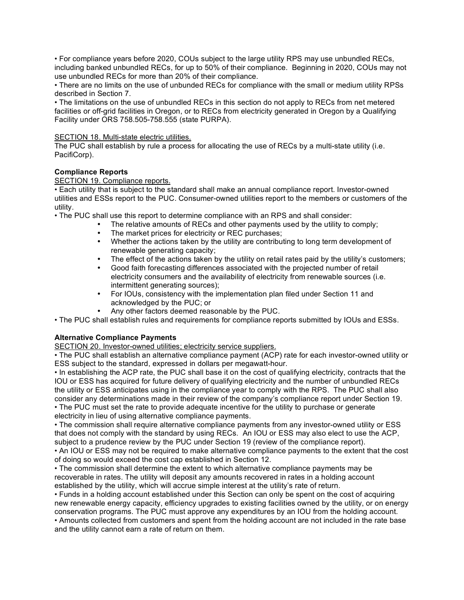• For compliance years before 2020, COUs subject to the large utility RPS may use unbundled RECs, including banked unbundled RECs, for up to 50% of their compliance. Beginning in 2020, COUs may not use unbundled RECs for more than 20% of their compliance.

• There are no limits on the use of unbunded RECs for compliance with the small or medium utility RPSs described in Section 7.

• The limitations on the use of unbundled RECs in this section do not apply to RECs from net metered facilities or off-grid facilities in Oregon, or to RECs from electricity generated in Oregon by a Qualifying Facility under ORS 758.505-758.555 (state PURPA).

### SECTION 18. Multi-state electric utilities.

The PUC shall establish by rule a process for allocating the use of RECs by a multi-state utility (i.e. PacifiCorp).

## **Compliance Reports**

### SECTION 19. Compliance reports.

• Each utility that is subject to the standard shall make an annual compliance report. Investor-owned utilities and ESSs report to the PUC. Consumer-owned utilities report to the members or customers of the utility.

• The PUC shall use this report to determine compliance with an RPS and shall consider:

- The relative amounts of RECs and other payments used by the utility to comply;
- The market prices for electricity or REC purchases;<br>• Whether the actions taken by the utility are contribution
- Whether the actions taken by the utility are contributing to long term development of renewable generating capacity;
- The effect of the actions taken by the utility on retail rates paid by the utility's customers;<br>• Good faith forecasting differences associated with the projected number of retail
- Good faith forecasting differences associated with the projected number of retail electricity consumers and the availability of electricity from renewable sources (i.e. intermittent generating sources);
- For IOUs, consistency with the implementation plan filed under Section 11 and acknowledged by the PUC; or
- Any other factors deemed reasonable by the PUC.

• The PUC shall establish rules and requirements for compliance reports submitted by IOUs and ESSs.

## **Alternative Compliance Payments**

SECTION 20. Investor-owned utilities; electricity service suppliers.

• The PUC shall establish an alternative compliance payment (ACP) rate for each investor-owned utility or ESS subject to the standard, expressed in dollars per megawatt-hour.

• In establishing the ACP rate, the PUC shall base it on the cost of qualifying electricity, contracts that the IOU or ESS has acquired for future delivery of qualifying electricity and the number of unbundled RECs the utility or ESS anticipates using in the compliance year to comply with the RPS. The PUC shall also consider any determinations made in their review of the company's compliance report under Section 19. • The PUC must set the rate to provide adequate incentive for the utility to purchase or generate

electricity in lieu of using alternative compliance payments.

• The commission shall require alternative compliance payments from any investor-owned utility or ESS that does not comply with the standard by using RECs. An IOU or ESS may also elect to use the ACP, subject to a prudence review by the PUC under Section 19 (review of the compliance report).

• An IOU or ESS may not be required to make alternative compliance payments to the extent that the cost of doing so would exceed the cost cap established in Section 12.

• The commission shall determine the extent to which alternative compliance payments may be recoverable in rates. The utility will deposit any amounts recovered in rates in a holding account established by the utility, which will accrue simple interest at the utility's rate of return.

• Funds in a holding account established under this Section can only be spent on the cost of acquiring new renewable energy capacity, efficiency upgrades to existing facilities owned by the utility, or on energy conservation programs. The PUC must approve any expenditures by an IOU from the holding account.

• Amounts collected from customers and spent from the holding account are not included in the rate base and the utility cannot earn a rate of return on them.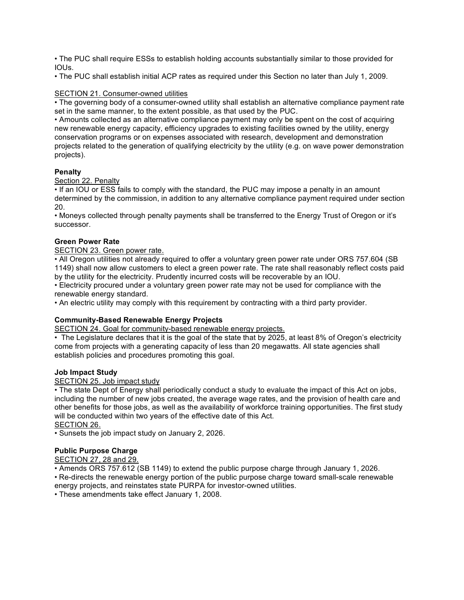• The PUC shall require ESSs to establish holding accounts substantially similar to those provided for IOUs.

• The PUC shall establish initial ACP rates as required under this Section no later than July 1, 2009.

### SECTION 21. Consumer-owned utilities

• The governing body of a consumer-owned utility shall establish an alternative compliance payment rate set in the same manner, to the extent possible, as that used by the PUC.

• Amounts collected as an alternative compliance payment may only be spent on the cost of acquiring new renewable energy capacity, efficiency upgrades to existing facilities owned by the utility, energy conservation programs or on expenses associated with research, development and demonstration projects related to the generation of qualifying electricity by the utility (e.g. on wave power demonstration projects).

### **Penalty**

Section 22. Penalty

• If an IOU or ESS fails to comply with the standard, the PUC may impose a penalty in an amount determined by the commission, in addition to any alternative compliance payment required under section 20.

• Moneys collected through penalty payments shall be transferred to the Energy Trust of Oregon or it's successor.

### **Green Power Rate**

### SECTION 23. Green power rate.

• All Oregon utilities not already required to offer a voluntary green power rate under ORS 757.604 (SB 1149) shall now allow customers to elect a green power rate. The rate shall reasonably reflect costs paid by the utility for the electricity. Prudently incurred costs will be recoverable by an IOU.

• Electricity procured under a voluntary green power rate may not be used for compliance with the renewable energy standard.

• An electric utility may comply with this requirement by contracting with a third party provider.

## **Community-Based Renewable Energy Projects**

SECTION 24. Goal for community-based renewable energy projects.

• The Legislature declares that it is the goal of the state that by 2025, at least 8% of Oregon's electricity come from projects with a generating capacity of less than 20 megawatts. All state agencies shall establish policies and procedures promoting this goal.

### **Job Impact Study**

### SECTION 25. Job impact study

• The state Dept of Energy shall periodically conduct a study to evaluate the impact of this Act on jobs, including the number of new jobs created, the average wage rates, and the provision of health care and other benefits for those jobs, as well as the availability of workforce training opportunities. The first study will be conducted within two years of the effective date of this Act. SECTION 26.

• Sunsets the job impact study on January 2, 2026.

## **Public Purpose Charge**

## SECTION 27, 28 and 29.

• Amends ORS 757.612 (SB 1149) to extend the public purpose charge through January 1, 2026.

• Re-directs the renewable energy portion of the public purpose charge toward small-scale renewable energy projects, and reinstates state PURPA for investor-owned utilities.

• These amendments take effect January 1, 2008.